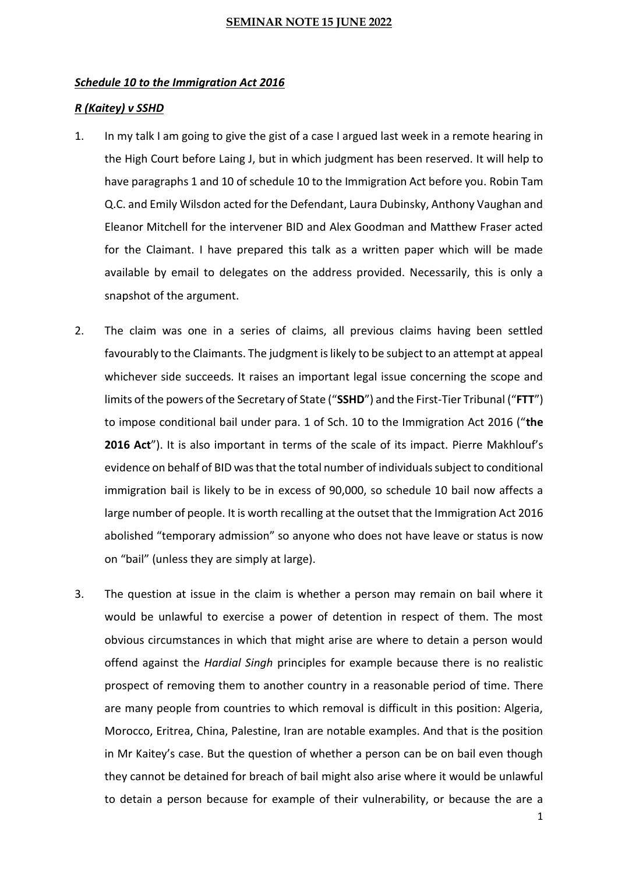#### *Schedule 10 to the Immigration Act 2016*

## *R (Kaitey) v SSHD*

- 1. In my talk I am going to give the gist of a case I argued last week in a remote hearing in the High Court before Laing J, but in which judgment has been reserved. It will help to have paragraphs 1 and 10 of schedule 10 to the Immigration Act before you. Robin Tam Q.C. and Emily Wilsdon acted for the Defendant, Laura Dubinsky, Anthony Vaughan and Eleanor Mitchell for the intervener BID and Alex Goodman and Matthew Fraser acted for the Claimant. I have prepared this talk as a written paper which will be made available by email to delegates on the address provided. Necessarily, this is only a snapshot of the argument.
- 2. The claim was one in a series of claims, all previous claims having been settled favourably to the Claimants. The judgment is likely to be subject to an attempt at appeal whichever side succeeds. It raises an important legal issue concerning the scope and limits of the powers of the Secretary of State ("**SSHD**") and the First-Tier Tribunal ("**FTT**") to impose conditional bail under para. 1 of Sch. 10 to the Immigration Act 2016 ("**the 2016 Act**"). It is also important in terms of the scale of its impact. Pierre Makhlouf's evidence on behalf of BID was that the total number of individuals subject to conditional immigration bail is likely to be in excess of 90,000, so schedule 10 bail now affects a large number of people. It is worth recalling at the outset that the Immigration Act 2016 abolished "temporary admission" so anyone who does not have leave or status is now on "bail" (unless they are simply at large).
- 3. The question at issue in the claim is whether a person may remain on bail where it would be unlawful to exercise a power of detention in respect of them. The most obvious circumstances in which that might arise are where to detain a person would offend against the *Hardial Singh* principles for example because there is no realistic prospect of removing them to another country in a reasonable period of time. There are many people from countries to which removal is difficult in this position: Algeria, Morocco, Eritrea, China, Palestine, Iran are notable examples. And that is the position in Mr Kaitey's case. But the question of whether a person can be on bail even though they cannot be detained for breach of bail might also arise where it would be unlawful to detain a person because for example of their vulnerability, or because the are a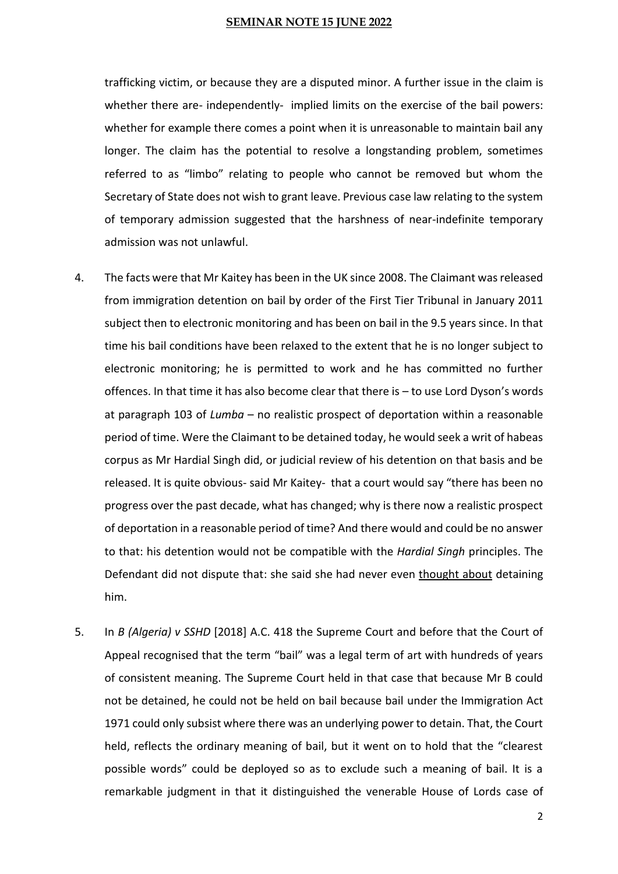trafficking victim, or because they are a disputed minor. A further issue in the claim is whether there are- independently- implied limits on the exercise of the bail powers: whether for example there comes a point when it is unreasonable to maintain bail any longer. The claim has the potential to resolve a longstanding problem, sometimes referred to as "limbo" relating to people who cannot be removed but whom the Secretary of State does not wish to grant leave. Previous case law relating to the system of temporary admission suggested that the harshness of near-indefinite temporary admission was not unlawful.

- 4. The facts were that Mr Kaitey has been in the UK since 2008. The Claimant was released from immigration detention on bail by order of the First Tier Tribunal in January 2011 subject then to electronic monitoring and has been on bail in the 9.5 years since. In that time his bail conditions have been relaxed to the extent that he is no longer subject to electronic monitoring; he is permitted to work and he has committed no further offences. In that time it has also become clear that there is – to use Lord Dyson's words at paragraph 103 of *Lumba* – no realistic prospect of deportation within a reasonable period of time. Were the Claimant to be detained today, he would seek a writ of habeas corpus as Mr Hardial Singh did, or judicial review of his detention on that basis and be released. It is quite obvious- said Mr Kaitey- that a court would say "there has been no progress over the past decade, what has changed; why is there now a realistic prospect of deportation in a reasonable period of time? And there would and could be no answer to that: his detention would not be compatible with the *Hardial Singh* principles. The Defendant did not dispute that: she said she had never even thought about detaining him.
- 5. In *B (Algeria) v SSHD* [2018] A.C. 418 the Supreme Court and before that the Court of Appeal recognised that the term "bail" was a legal term of art with hundreds of years of consistent meaning. The Supreme Court held in that case that because Mr B could not be detained, he could not be held on bail because bail under the Immigration Act 1971 could only subsist where there was an underlying power to detain. That, the Court held, reflects the ordinary meaning of bail, but it went on to hold that the "clearest possible words" could be deployed so as to exclude such a meaning of bail. It is a remarkable judgment in that it distinguished the venerable House of Lords case of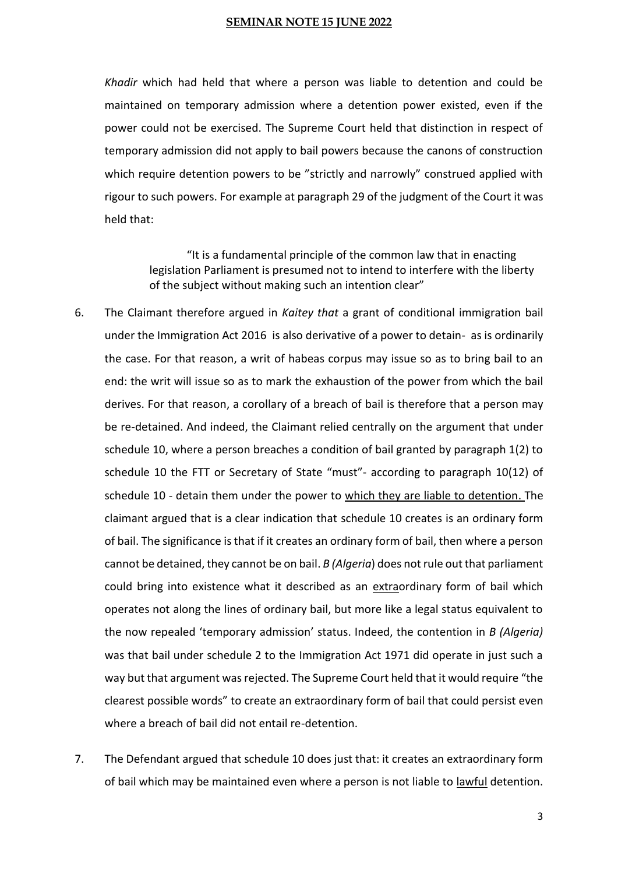*Khadir* which had held that where a person was liable to detention and could be maintained on temporary admission where a detention power existed, even if the power could not be exercised. The Supreme Court held that distinction in respect of temporary admission did not apply to bail powers because the canons of construction which require detention powers to be "strictly and narrowly" construed applied with rigour to such powers. For example at paragraph 29 of the judgment of the Court it was held that:

> "It is a fundamental principle of the common law that in enacting legislation Parliament is presumed not to intend to interfere with the liberty of the subject without making such an intention clear"

- 6. The Claimant therefore argued in *Kaitey that* a grant of conditional immigration bail under the Immigration Act 2016 is also derivative of a power to detain- as is ordinarily the case. For that reason, a writ of habeas corpus may issue so as to bring bail to an end: the writ will issue so as to mark the exhaustion of the power from which the bail derives. For that reason, a corollary of a breach of bail is therefore that a person may be re-detained. And indeed, the Claimant relied centrally on the argument that under schedule 10, where a person breaches a condition of bail granted by paragraph 1(2) to schedule 10 the FTT or Secretary of State "must"- according to paragraph 10(12) of schedule 10 - detain them under the power to which they are liable to detention. The claimant argued that is a clear indication that schedule 10 creates is an ordinary form of bail. The significance is that if it creates an ordinary form of bail, then where a person cannot be detained, they cannot be on bail. *B (Algeria*) does not rule out that parliament could bring into existence what it described as an extraordinary form of bail which operates not along the lines of ordinary bail, but more like a legal status equivalent to the now repealed 'temporary admission' status. Indeed, the contention in *B (Algeria)* was that bail under schedule 2 to the Immigration Act 1971 did operate in just such a way but that argument was rejected. The Supreme Court held that it would require "the clearest possible words" to create an extraordinary form of bail that could persist even where a breach of bail did not entail re-detention.
- 7. The Defendant argued that schedule 10 does just that: it creates an extraordinary form of bail which may be maintained even where a person is not liable to lawful detention.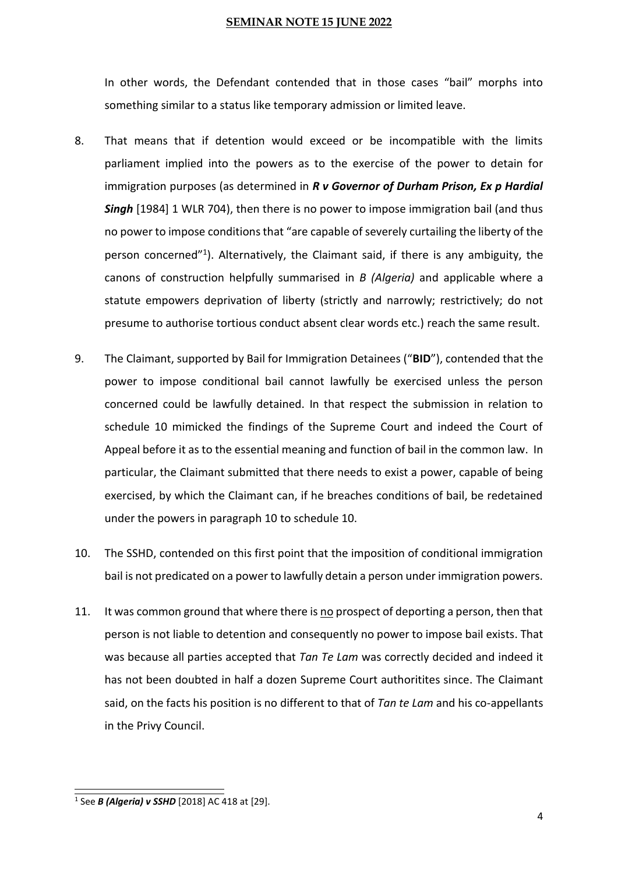In other words, the Defendant contended that in those cases "bail" morphs into something similar to a status like temporary admission or limited leave.

- 8. That means that if detention would exceed or be incompatible with the limits parliament implied into the powers as to the exercise of the power to detain for immigration purposes (as determined in *R v Governor of Durham Prison, Ex p Hardial Singh* [1984] 1 WLR 704), then there is no power to impose immigration bail (and thus no power to impose conditions that "are capable of severely curtailing the liberty of the person concerned"<sup>1</sup>). Alternatively, the Claimant said, if there is any ambiguity, the canons of construction helpfully summarised in *B (Algeria)* and applicable where a statute empowers deprivation of liberty (strictly and narrowly; restrictively; do not presume to authorise tortious conduct absent clear words etc.) reach the same result.
- 9. The Claimant, supported by Bail for Immigration Detainees ("**BID**"), contended that the power to impose conditional bail cannot lawfully be exercised unless the person concerned could be lawfully detained. In that respect the submission in relation to schedule 10 mimicked the findings of the Supreme Court and indeed the Court of Appeal before it as to the essential meaning and function of bail in the common law. In particular, the Claimant submitted that there needs to exist a power, capable of being exercised, by which the Claimant can, if he breaches conditions of bail, be redetained under the powers in paragraph 10 to schedule 10.
- 10. The SSHD, contended on this first point that the imposition of conditional immigration bail is not predicated on a power to lawfully detain a person under immigration powers.
- 11. It was common ground that where there is no prospect of deporting a person, then that person is not liable to detention and consequently no power to impose bail exists. That was because all parties accepted that *Tan Te Lam* was correctly decided and indeed it has not been doubted in half a dozen Supreme Court authoritites since. The Claimant said, on the facts his position is no different to that of *Tan te Lam* and his co-appellants in the Privy Council.

<sup>1</sup> See *B (Algeria) v SSHD* [2018] AC 418 at [29].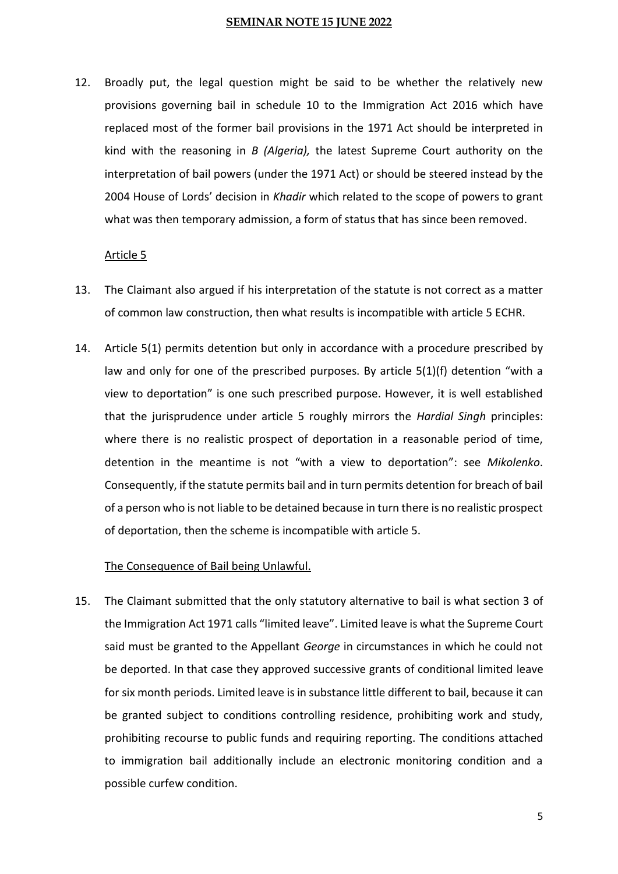12. Broadly put, the legal question might be said to be whether the relatively new provisions governing bail in schedule 10 to the Immigration Act 2016 which have replaced most of the former bail provisions in the 1971 Act should be interpreted in kind with the reasoning in *B (Algeria),* the latest Supreme Court authority on the interpretation of bail powers (under the 1971 Act) or should be steered instead by the 2004 House of Lords' decision in *Khadir* which related to the scope of powers to grant what was then temporary admission, a form of status that has since been removed.

## Article 5

- 13. The Claimant also argued if his interpretation of the statute is not correct as a matter of common law construction, then what results is incompatible with article 5 ECHR.
- 14. Article 5(1) permits detention but only in accordance with a procedure prescribed by law and only for one of the prescribed purposes. By article 5(1)(f) detention "with a view to deportation" is one such prescribed purpose. However, it is well established that the jurisprudence under article 5 roughly mirrors the *Hardial Singh* principles: where there is no realistic prospect of deportation in a reasonable period of time, detention in the meantime is not "with a view to deportation": see *Mikolenko*. Consequently, if the statute permits bail and in turn permits detention for breach of bail of a person who is not liable to be detained because in turn there is no realistic prospect of deportation, then the scheme is incompatible with article 5.

## The Consequence of Bail being Unlawful.

15. The Claimant submitted that the only statutory alternative to bail is what section 3 of the Immigration Act 1971 calls "limited leave". Limited leave is what the Supreme Court said must be granted to the Appellant *George* in circumstances in which he could not be deported. In that case they approved successive grants of conditional limited leave for six month periods. Limited leave is in substance little different to bail, because it can be granted subject to conditions controlling residence, prohibiting work and study, prohibiting recourse to public funds and requiring reporting. The conditions attached to immigration bail additionally include an electronic monitoring condition and a possible curfew condition.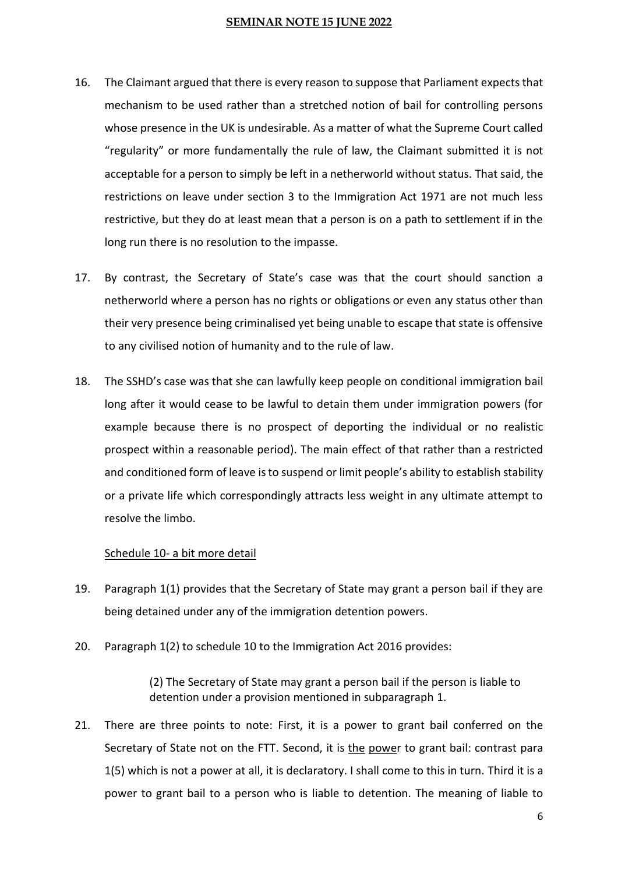- 16. The Claimant argued that there is every reason to suppose that Parliament expects that mechanism to be used rather than a stretched notion of bail for controlling persons whose presence in the UK is undesirable. As a matter of what the Supreme Court called "regularity" or more fundamentally the rule of law, the Claimant submitted it is not acceptable for a person to simply be left in a netherworld without status. That said, the restrictions on leave under section 3 to the Immigration Act 1971 are not much less restrictive, but they do at least mean that a person is on a path to settlement if in the long run there is no resolution to the impasse.
- 17. By contrast, the Secretary of State's case was that the court should sanction a netherworld where a person has no rights or obligations or even any status other than their very presence being criminalised yet being unable to escape that state is offensive to any civilised notion of humanity and to the rule of law.
- 18. The SSHD's case was that she can lawfully keep people on conditional immigration bail long after it would cease to be lawful to detain them under immigration powers (for example because there is no prospect of deporting the individual or no realistic prospect within a reasonable period). The main effect of that rather than a restricted and conditioned form of leave is to suspend or limit people's ability to establish stability or a private life which correspondingly attracts less weight in any ultimate attempt to resolve the limbo.

## Schedule 10- a bit more detail

- 19. Paragraph 1(1) provides that the Secretary of State may grant a person bail if they are being detained under any of the immigration detention powers.
- 20. Paragraph 1(2) to schedule 10 to the Immigration Act 2016 provides:

(2) The Secretary of State may grant a person bail if the person is liable to detention under a provision mentioned in subparagraph 1.

21. There are three points to note: First, it is a power to grant bail conferred on the Secretary of State not on the FTT. Second, it is the power to grant bail: contrast para 1(5) which is not a power at all, it is declaratory. I shall come to this in turn. Third it is a power to grant bail to a person who is liable to detention. The meaning of liable to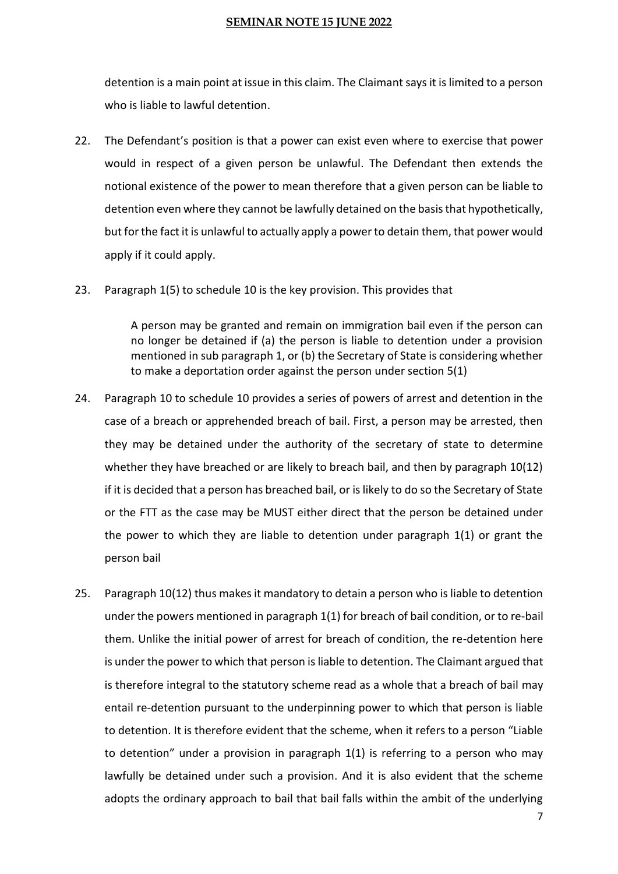detention is a main point at issue in this claim. The Claimant says it is limited to a person who is liable to lawful detention.

- 22. The Defendant's position is that a power can exist even where to exercise that power would in respect of a given person be unlawful. The Defendant then extends the notional existence of the power to mean therefore that a given person can be liable to detention even where they cannot be lawfully detained on the basis that hypothetically, but for the fact it is unlawful to actually apply a power to detain them, that power would apply if it could apply.
- 23. Paragraph 1(5) to schedule 10 is the key provision. This provides that

A person may be granted and remain on immigration bail even if the person can no longer be detained if (a) the person is liable to detention under a provision mentioned in sub paragraph 1, or (b) the Secretary of State is considering whether to make a deportation order against the person under section 5(1)

- 24. Paragraph 10 to schedule 10 provides a series of powers of arrest and detention in the case of a breach or apprehended breach of bail. First, a person may be arrested, then they may be detained under the authority of the secretary of state to determine whether they have breached or are likely to breach bail, and then by paragraph 10(12) if it is decided that a person has breached bail, or is likely to do so the Secretary of State or the FTT as the case may be MUST either direct that the person be detained under the power to which they are liable to detention under paragraph  $1(1)$  or grant the person bail
- 25. Paragraph 10(12) thus makes it mandatory to detain a person who is liable to detention under the powers mentioned in paragraph 1(1) for breach of bail condition, or to re-bail them. Unlike the initial power of arrest for breach of condition, the re-detention here is under the power to which that person is liable to detention. The Claimant argued that is therefore integral to the statutory scheme read as a whole that a breach of bail may entail re-detention pursuant to the underpinning power to which that person is liable to detention. It is therefore evident that the scheme, when it refers to a person "Liable to detention" under a provision in paragraph 1(1) is referring to a person who may lawfully be detained under such a provision. And it is also evident that the scheme adopts the ordinary approach to bail that bail falls within the ambit of the underlying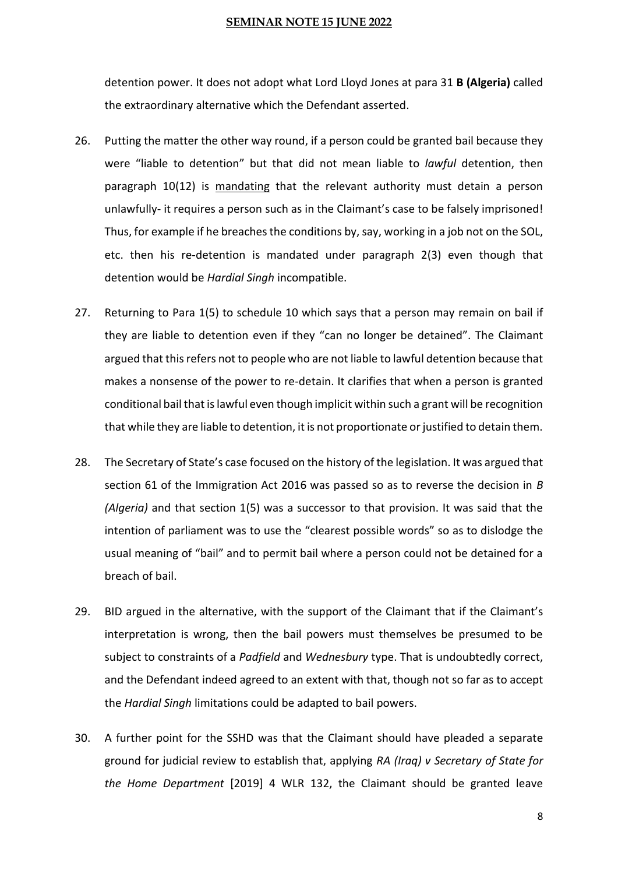detention power. It does not adopt what Lord Lloyd Jones at para 31 **B (Algeria)** called the extraordinary alternative which the Defendant asserted.

- 26. Putting the matter the other way round, if a person could be granted bail because they were "liable to detention" but that did not mean liable to *lawful* detention, then paragraph 10(12) is mandating that the relevant authority must detain a person unlawfully- it requires a person such as in the Claimant's case to be falsely imprisoned! Thus, for example if he breaches the conditions by, say, working in a job not on the SOL, etc. then his re-detention is mandated under paragraph 2(3) even though that detention would be *Hardial Singh* incompatible.
- 27. Returning to Para 1(5) to schedule 10 which says that a person may remain on bail if they are liable to detention even if they "can no longer be detained". The Claimant argued that this refers not to people who are not liable to lawful detention because that makes a nonsense of the power to re-detain. It clarifies that when a person is granted conditional bail that is lawful even though implicit within such a grant will be recognition that while they are liable to detention, it is not proportionate or justified to detain them.
- 28. The Secretary of State's case focused on the history of the legislation. It was argued that section 61 of the Immigration Act 2016 was passed so as to reverse the decision in *B (Algeria)* and that section 1(5) was a successor to that provision. It was said that the intention of parliament was to use the "clearest possible words" so as to dislodge the usual meaning of "bail" and to permit bail where a person could not be detained for a breach of bail.
- 29. BID argued in the alternative, with the support of the Claimant that if the Claimant's interpretation is wrong, then the bail powers must themselves be presumed to be subject to constraints of a *Padfield* and *Wednesbury* type. That is undoubtedly correct, and the Defendant indeed agreed to an extent with that, though not so far as to accept the *Hardial Singh* limitations could be adapted to bail powers.
- 30. A further point for the SSHD was that the Claimant should have pleaded a separate ground for judicial review to establish that, applying *RA (Iraq) v Secretary of State for the Home Department* [2019] 4 WLR 132, the Claimant should be granted leave